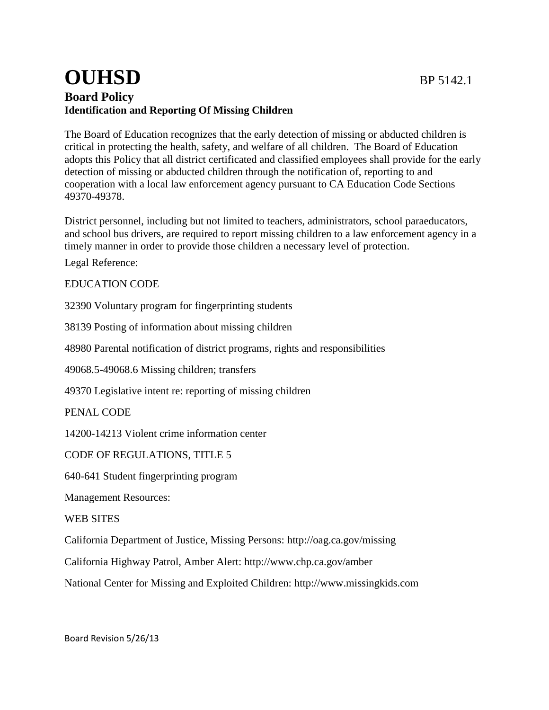## **OUHSD** BP 5142.1 **Board Policy Identification and Reporting Of Missing Children**

The Board of Education recognizes that the early detection of missing or abducted children is critical in protecting the health, safety, and welfare of all children. The Board of Education adopts this Policy that all district certificated and classified employees shall provide for the early detection of missing or abducted children through the notification of, reporting to and cooperation with a local law enforcement agency pursuant to CA Education Code Sections 49370-49378.

District personnel, including but not limited to teachers, administrators, school paraeducators, and school bus drivers, are required to report missing children to a law enforcement agency in a timely manner in order to provide those children a necessary level of protection.

Legal Reference:

EDUCATION CODE

[32390](http://www.gamutonline.net/displayPolicy/131183/5) Voluntary program for fingerprinting students

[38139](http://www.gamutonline.net/displayPolicy/137191/5) Posting of information about missing children

[48980](http://www.gamutonline.net/displayPolicy/226041/5) Parental notification of district programs, rights and responsibilities

[49068.5](http://www.gamutonline.net/displayPolicy/132286/5)[-49068.6](http://www.gamutonline.net/displayPolicy/210231/5) Missing children; transfers

[49370](http://www.gamutonline.net/displayPolicy/204273/5) Legislative intent re: reporting of missing children

PENAL CODE

[14200](http://www.gamutonline.net/displayPolicy/169542/5)[-14213](http://www.gamutonline.net/displayPolicy/169553/5) Violent crime information center

CODE OF REGULATIONS, TITLE 5

[640](http://www.gamutonline.net/displayPolicy/186854/5)[-641](http://www.gamutonline.net/displayPolicy/186855/5) Student fingerprinting program

Management Resources:

WEB SITES

California Department of Justice, Missing Persons:<http://oag.ca.gov/missing>

California Highway Patrol, Amber Alert:<http://www.chp.ca.gov/amber>

National Center for Missing and Exploited Children: [http://www.missingkids.com](http://www.missingkids.com/)

Board Revision 5/26/13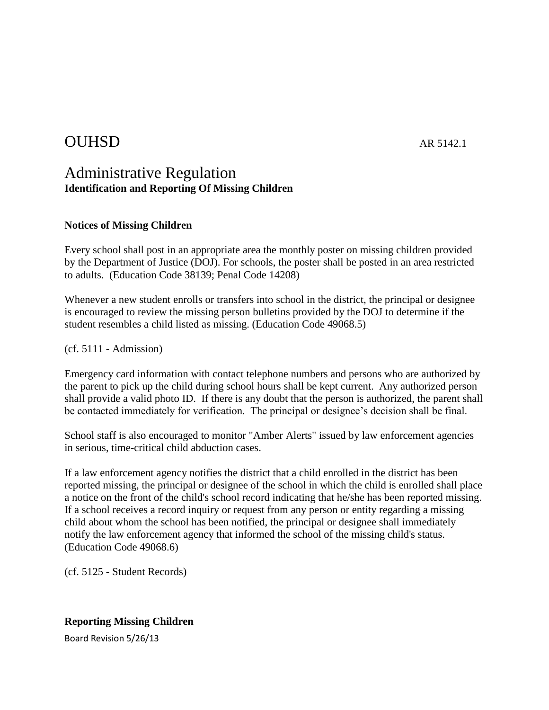# OUHSD AR 5142.1

## Administrative Regulation **Identification and Reporting Of Missing Children**

### **Notices of Missing Children**

Every school shall post in an appropriate area the monthly poster on missing children provided by the Department of Justice (DOJ). For schools, the poster shall be posted in an area restricted to adults. (Education Code 38139; Penal Code 14208)

Whenever a new student enrolls or transfers into school in the district, the principal or designee is encouraged to review the missing person bulletins provided by the DOJ to determine if the student resembles a child listed as missing. (Education Code 49068.5)

(cf. 5111 - Admission)

Emergency card information with contact telephone numbers and persons who are authorized by the parent to pick up the child during school hours shall be kept current. Any authorized person shall provide a valid photo ID. If there is any doubt that the person is authorized, the parent shall be contacted immediately for verification. The principal or designee's decision shall be final.

School staff is also encouraged to monitor "Amber Alerts" issued by law enforcement agencies in serious, time-critical child abduction cases.

If a law enforcement agency notifies the district that a child enrolled in the district has been reported missing, the principal or designee of the school in which the child is enrolled shall place a notice on the front of the child's school record indicating that he/she has been reported missing. If a school receives a record inquiry or request from any person or entity regarding a missing child about whom the school has been notified, the principal or designee shall immediately notify the law enforcement agency that informed the school of the missing child's status. (Education Code 49068.6)

(cf. 5125 - Student Records)

### **Reporting Missing Children**

Board Revision 5/26/13